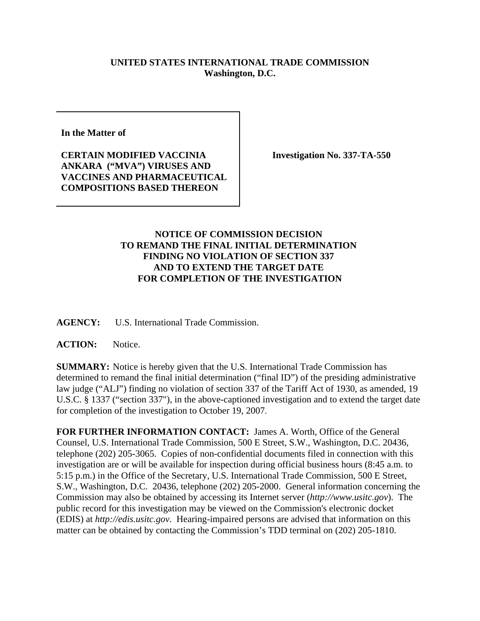## **UNITED STATES INTERNATIONAL TRADE COMMISSION Washington, D.C.**

**In the Matter of**

**CERTAIN MODIFIED VACCINIA ANKARA ("MVA") VIRUSES AND VACCINES AND PHARMACEUTICAL COMPOSITIONS BASED THEREON**

**Investigation No. 337-TA-550**

## **NOTICE OF COMMISSION DECISION TO REMAND THE FINAL INITIAL DETERMINATION FINDING NO VIOLATION OF SECTION 337 AND TO EXTEND THE TARGET DATE FOR COMPLETION OF THE INVESTIGATION**

**AGENCY:** U.S. International Trade Commission.

**ACTION:** Notice.

**SUMMARY:** Notice is hereby given that the U.S. International Trade Commission has determined to remand the final initial determination ("final ID") of the presiding administrative law judge ("ALJ") finding no violation of section 337 of the Tariff Act of 1930, as amended, 19 U.S.C. § 1337 ("section 337"), in the above-captioned investigation and to extend the target date for completion of the investigation to October 19, 2007.

**FOR FURTHER INFORMATION CONTACT:** James A. Worth, Office of the General Counsel, U.S. International Trade Commission, 500 E Street, S.W., Washington, D.C. 20436, telephone (202) 205-3065. Copies of non-confidential documents filed in connection with this investigation are or will be available for inspection during official business hours (8:45 a.m. to 5:15 p.m.) in the Office of the Secretary, U.S. International Trade Commission, 500 E Street, S.W., Washington, D.C. 20436, telephone (202) 205-2000. General information concerning the Commission may also be obtained by accessing its Internet server (*http://www.usitc.gov*). The public record for this investigation may be viewed on the Commission's electronic docket (EDIS) at *http://edis.usitc.gov*. Hearing-impaired persons are advised that information on this matter can be obtained by contacting the Commission's TDD terminal on (202) 205-1810.